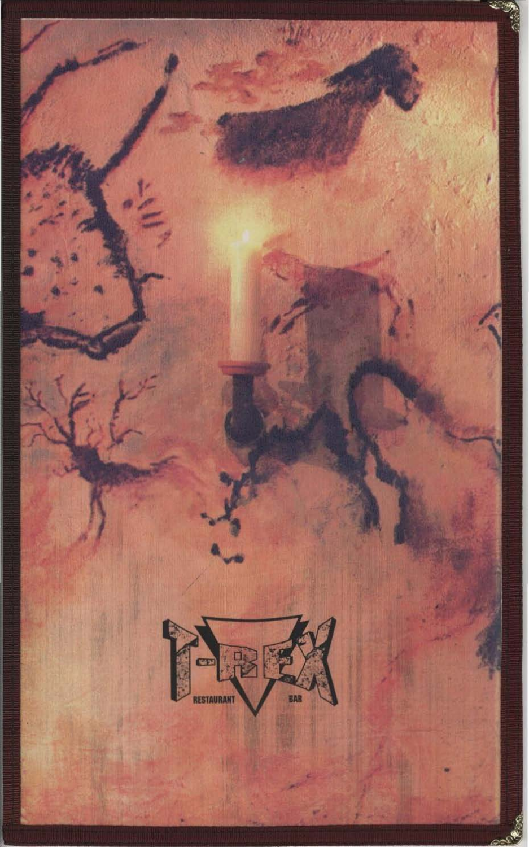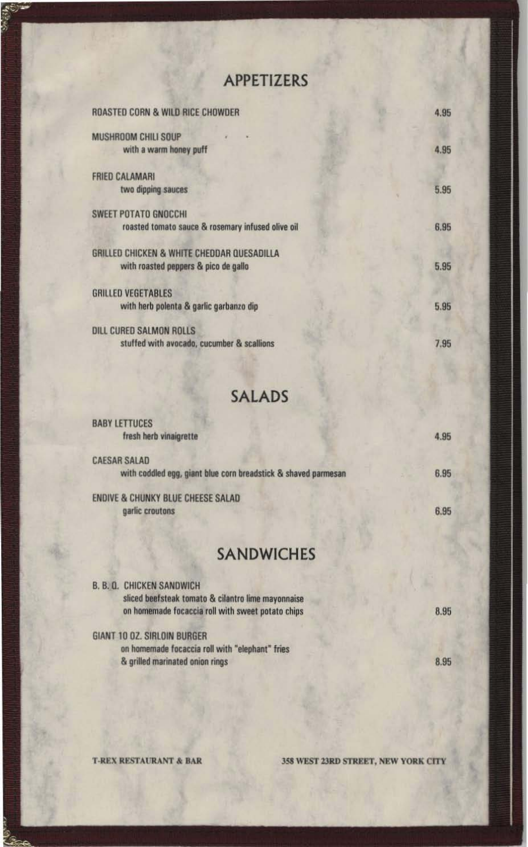## APPETIZERS

**SARRA** 

| ROASTED CORN & WILD RICE CHOWDER                                                   | 4.95 |
|------------------------------------------------------------------------------------|------|
| MUSHROOM CHILI SOUP<br>with a warm honey puff                                      | 4.95 |
| <b>FRIED CALAMARI</b><br>two dipping sauces                                        | 5.95 |
| <b>SWEET POTATO GNOCCHI</b><br>roasted tomato sauce & rosemary infused olive oil   | 6.95 |
| GRILLED CHICKEN & WHITE CHEDDAR QUESADILLA<br>with roasted peppers & pico de gallo | 5.95 |
| <b>GRILLED VEGETABLES</b><br>with herb polenta & garlic garbanzo dip               | 5.95 |
| DILL CURED SALMON ROLLS<br>stuffed with avocado, cucumber & scallions              | 7.95 |

## **SALADS**

| <b>BABTLETIULES</b><br>fresh herb vinaigrette                                         | 4.95 |
|---------------------------------------------------------------------------------------|------|
| <b>CAESAR SALAD</b><br>with coddled egg, giant blue corn breadstick & shaved parmesan | 6.95 |
| <b>ENDIVE &amp; CHUNKY BLUE CHEESE SALAD</b><br>garlic croutons                       | 6.95 |

## **SANDWICHES**

| <b>B. B. Q. CHICKEN SANDWICH</b><br>sliced beefsteak tomato & cilantro lime mayonnaise |      |
|----------------------------------------------------------------------------------------|------|
| on homemade focaccia roll with sweet potato chips                                      | 8.95 |
| GIANT 10 OZ. SIRLOIN BURGER                                                            |      |
| on homemade focaccia roll with "elephant" fries                                        |      |
| & grilled marinated onion rings                                                        | 8.95 |

**DATA** 

358 WEST 23RD STREET, NEW YORK CITY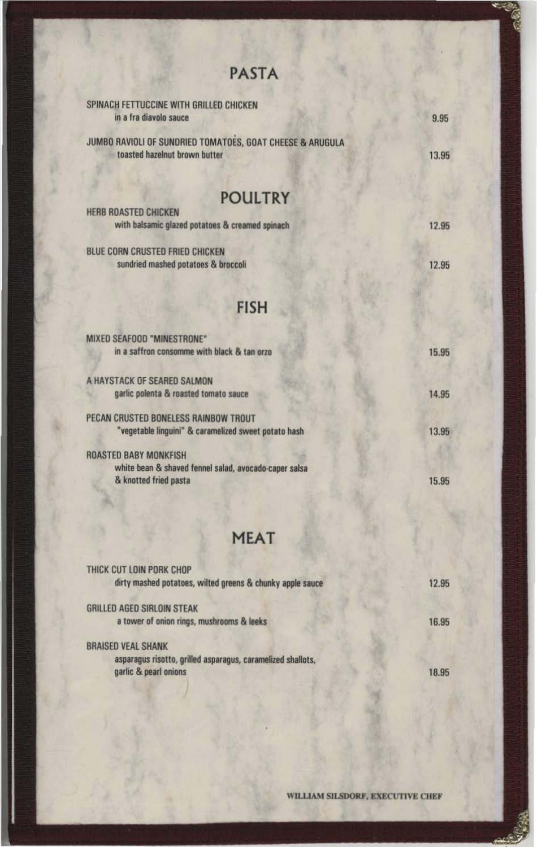| <b>PASTA</b>                                                                               |       |
|--------------------------------------------------------------------------------------------|-------|
| SPINACH FETTUCCINE WITH GRILLED CHICKEN<br>in a fra diavolo sauce                          | 9.95  |
| JUMBO RAVIOLI OF SUNDRIED TOMATOES, GOAT CHEESE & ARUGULA<br>toasted hazelnut brown butter | 13.95 |
| <b>POULTRY</b>                                                                             |       |
| HERB ROASTED CHICKEN<br>with balsamic glazed potatoes & creamed spinach                    | 12.95 |
| BLUE CORN CRUSTED FRIED CHICKEN<br>sundried mashed potatoes & broccoli                     | 12.95 |
| <b>FISH</b>                                                                                |       |
| MIXED SEAFOOD "MINESTRONE"<br>in a saffron consomme with black & tan orzo                  | 15.95 |
| A HAYSTACK OF SEARED SALMON                                                                |       |
| garlic polenta & roasted tomato sauce<br>PECAN CRUSTED BONELESS RAINBOW TROUT              | 14.95 |
| "vegetable linguini" & caramelized sweet potato hash<br><b>ROASTED BABY MONKFISH</b>       | 13.95 |
| white bean & shaved fennel salad, avocado-caper salsa<br>& knotted fried pasta             | 15.95 |
| <b>MEAT</b>                                                                                |       |
| THICK CUT LOIN PORK CHOP                                                                   |       |
| dirty mashed potatoes, wilted greens & chunky apple sauce                                  | 12.95 |
| <b>GRILLED AGED SIRLOIN STEAK</b><br>a tower of onion rings, mushrooms & leeks             | 16.95 |

**BRAISED VEAL SHANK** 

asparagus risotto, grilled asparagus, caramelized shallots, garlic & pearl onions

18.95